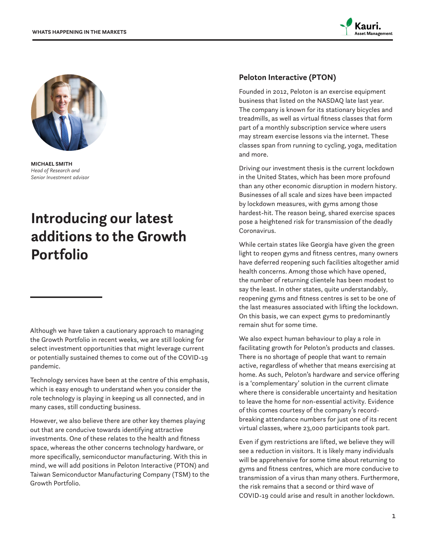



**MICHAEL SMITH** *Head of Research and Senior Investment advisor*

# **Introducing our latest additions to the Growth Portfolio**

Although we have taken a cautionary approach to managing the Growth Portfolio in recent weeks, we are still looking for select investment opportunities that might leverage current or potentially sustained themes to come out of the COVID-19 pandemic.

Technology services have been at the centre of this emphasis, which is easy enough to understand when you consider the role technology is playing in keeping us all connected, and in many cases, still conducting business.

However, we also believe there are other key themes playing out that are conducive towards identifying attractive investments. One of these relates to the health and fitness space, whereas the other concerns technology hardware, or more specifically, semiconductor manufacturing. With this in mind, we will add positions in Peloton Interactive (PTON) and Taiwan Semiconductor Manufacturing Company (TSM) to the Growth Portfolio.

#### **Peloton Interactive (PTON)**

Founded in 2012, Peloton is an exercise equipment business that listed on the NASDAQ late last year. The company is known for its stationary bicycles and treadmills, as well as virtual fitness classes that form part of a monthly subscription service where users may stream exercise lessons via the internet. These classes span from running to cycling, yoga, meditation and more.

Driving our investment thesis is the current lockdown in the United States, which has been more profound than any other economic disruption in modern history. Businesses of all scale and sizes have been impacted by lockdown measures, with gyms among those hardest-hit. The reason being, shared exercise spaces pose a heightened risk for transmission of the deadly Coronavirus.

While certain states like Georgia have given the green light to reopen gyms and fitness centres, many owners have deferred reopening such facilities altogether amid health concerns. Among those which have opened, the number of returning clientele has been modest to say the least. In other states, quite understandably, reopening gyms and fitness centres is set to be one of the last measures associated with lifting the lockdown. On this basis, we can expect gyms to predominantly remain shut for some time.

We also expect human behaviour to play a role in facilitating growth for Peloton's products and classes. There is no shortage of people that want to remain active, regardless of whether that means exercising at home. As such, Peloton's hardware and service offering is a 'complementary' solution in the current climate where there is considerable uncertainty and hesitation to leave the home for non-essential activity. Evidence of this comes courtesy of the company's recordbreaking attendance numbers for just one of its recent virtual classes, where 23,000 participants took part.

Even if gym restrictions are lifted, we believe they will see a reduction in visitors. It is likely many individuals will be apprehensive for some time about returning to gyms and fitness centres, which are more conducive to transmission of a virus than many others. Furthermore, the risk remains that a second or third wave of COVID-19 could arise and result in another lockdown.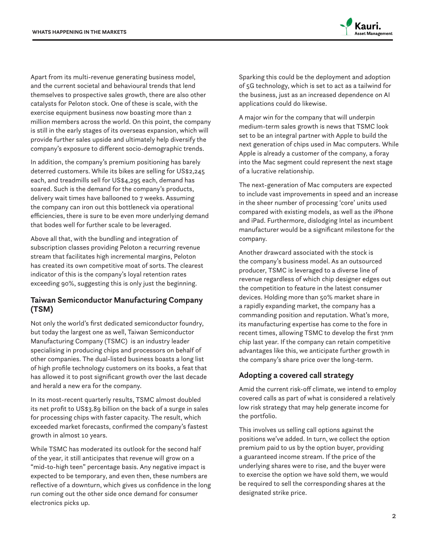

Apart from its multi-revenue generating business model, and the current societal and behavioural trends that lend themselves to prospective sales growth, there are also other catalysts for Peloton stock. One of these is scale, with the exercise equipment business now boasting more than 2 million members across the world. On this point, the company is still in the early stages of its overseas expansion, which will provide further sales upside and ultimately help diversify the company's exposure to different socio-demographic trends.

In addition, the company's premium positioning has barely deterred customers. While its bikes are selling for US\$2,245 each, and treadmills sell for US\$4,295 each, demand has soared. Such is the demand for the company's products, delivery wait times have ballooned to 7 weeks. Assuming the company can iron out this bottleneck via operational efficiencies, there is sure to be even more underlying demand that bodes well for further scale to be leveraged.

Above all that, with the bundling and integration of subscription classes providing Peloton a recurring revenue stream that facilitates high incremental margins, Peloton has created its own competitive moat of sorts. The clearest indicator of this is the company's loyal retention rates exceeding 90%, suggesting this is only just the beginning.

#### **Taiwan Semiconductor Manufacturing Company (TSM)**

Not only the world's first dedicated semiconductor foundry, but today the largest one as well, Taiwan Semiconductor Manufacturing Company (TSMC) is an industry leader specialising in producing chips and processors on behalf of other companies. The dual-listed business boasts a long list of high profile technology customers on its books, a feat that has allowed it to post significant growth over the last decade and herald a new era for the company.

In its most-recent quarterly results, TSMC almost doubled its net profit to US\$3.89 billion on the back of a surge in sales for processing chips with faster capacity. The result, which exceeded market forecasts, confirmed the company's fastest growth in almost 10 years.

While TSMC has moderated its outlook for the second half of the year, it still anticipates that revenue will grow on a "mid-to-high teen" percentage basis. Any negative impact is expected to be temporary, and even then, these numbers are reflective of a downturn, which gives us confidence in the long run coming out the other side once demand for consumer electronics picks up.

Sparking this could be the deployment and adoption of 5G technology, which is set to act as a tailwind for the business, just as an increased dependence on AI applications could do likewise.

A major win for the company that will underpin medium-term sales growth is news that TSMC look set to be an integral partner with Apple to build the next generation of chips used in Mac computers. While Apple is already a customer of the company, a foray into the Mac segment could represent the next stage of a lucrative relationship.

The next-generation of Mac computers are expected to include vast improvements in speed and an increase in the sheer number of processing 'core' units used compared with existing models, as well as the iPhone and iPad. Furthermore, dislodging Intel as incumbent manufacturer would be a significant milestone for the company.

Another drawcard associated with the stock is the company's business model. As an outsourced producer, TSMC is leveraged to a diverse line of revenue regardless of which chip designer edges out the competition to feature in the latest consumer devices. Holding more than 50% market share in a rapidly expanding market, the company has a commanding position and reputation. What's more, its manufacturing expertise has come to the fore in recent times, allowing TSMC to develop the first 7nm chip last year. If the company can retain competitive advantages like this, we anticipate further growth in the company's share price over the long-term.

### **Adopting a covered call strategy**

Amid the current risk-off climate, we intend to employ covered calls as part of what is considered a relatively low risk strategy that may help generate income for the portfolio.

This involves us selling call options against the positions we've added. In turn, we collect the option premium paid to us by the option buyer, providing a guaranteed income stream. If the price of the underlying shares were to rise, and the buyer were to exercise the option we have sold them, we would be required to sell the corresponding shares at the designated strike price.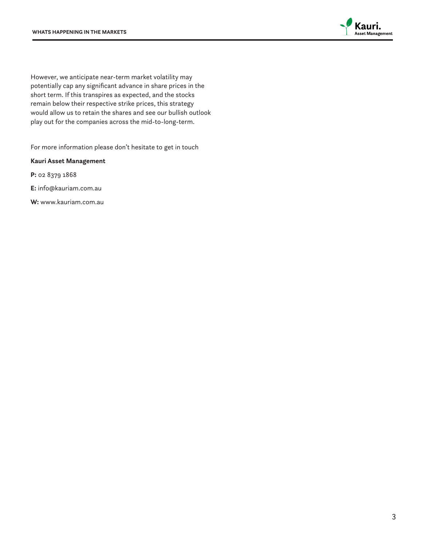

However, we anticipate near-term market volatility may potentially cap any significant advance in share prices in the short term. If this transpires as expected, and the stocks remain below their respective strike prices, this strategy would allow us to retain the shares and see our bullish outlook play out for the companies across the mid-to-long-term.

For more information please don't hesitate to get in touch

**Kauri Asset Management**

**P:** 02 8379 1868

**E:** info@kauriam.com.au

**W:** www.kauriam.com.au